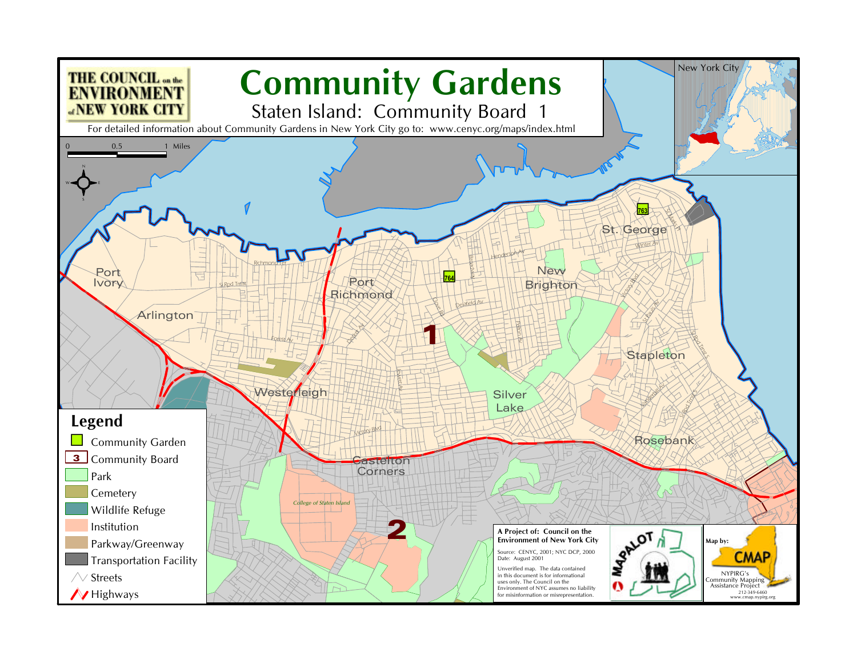